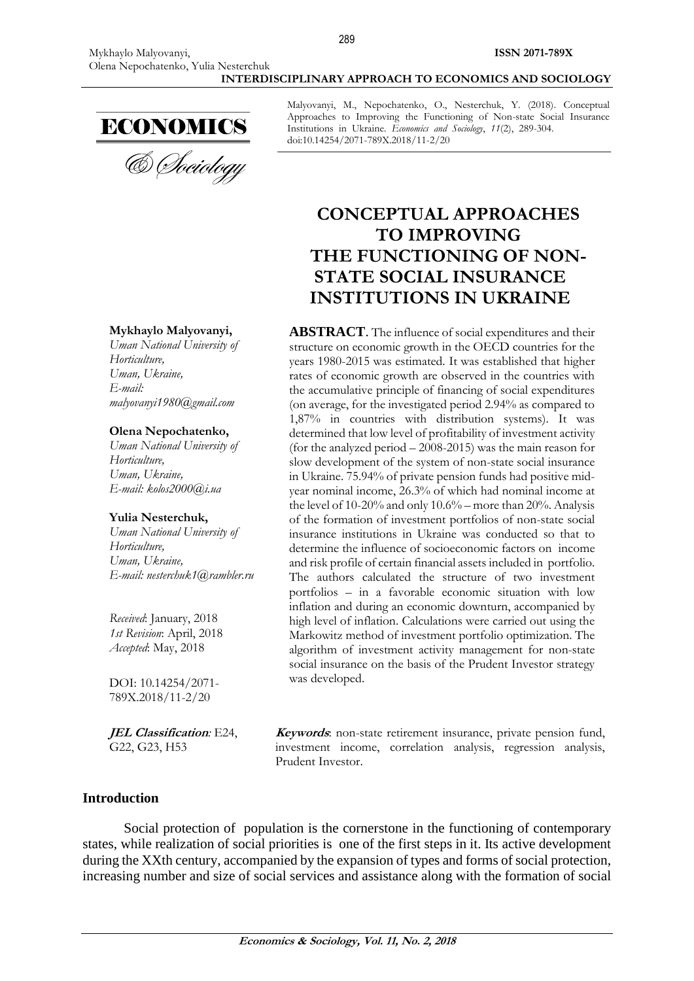

& Sociology

#### **Mykhaylo Malyovanyi,**

*Uman National University of Horticulture, Uman, Ukraine, E-mail: malyovanyi1980@gmail.com*

#### **Olena Nepochatenko,**

*Uman National University of Horticulture, Uman, Ukraine, E-mail: kolos2000@i.ua*

#### **Yulia Nesterchuk,**

*Uman National University of Horticulture, Uman, Ukraine, E-mail: [nesterchuk1@rambler.ru](mailto:nesterchuk1@rambler.ru)*

*Received*: January, 2018 *1st Revision*: April, 2018 *Accepted*: May, 2018

DOI: 10.14254/2071- 789X.2018/11-2/20

**JEL Classification***:* E24, G22, G23, H53

Malyovanyi, M., Nepochatenko, O., Nesterchuk, Y. (2018). Conceptual Approaches to Improving the Functioning of Non-state Social Insurance Institutions in Ukraine. *Economics and Sociology*, *11*(2), 289-304. doi:10.14254/2071-789X.2018/11-2/20

# **CONCEPTUAL APPROACHES TO IMPROVING THE FUNCTIONING OF NON-STATE SOCIAL INSURANCE INSTITUTIONS IN UKRAINE**

**ABSTRACT**. The influence of social expenditures and their structure on economic growth in the OECD countries for the years 1980-2015 was estimated. It was established that higher rates of economic growth are observed in the countries with the accumulative principle of financing of social expenditures (on average, for the investigated period 2.94% as compared to 1,87% in countries with distribution systems). It was determined that low level of profitability of investment activity (for the analyzed period – 2008-2015) was the main reason for slow development of the system of non-state social insurance in Ukraine. 75.94% of private pension funds had positive midyear nominal income, 26.3% of which had nominal income at the level of 10-20% and only 10.6% – more than 20%. Analysis of the formation of investment portfolios of non-state social insurance institutions in Ukraine was conducted so that to determine the influence of socioeconomic factors on income and risk profile of certain financial assets included in portfolio. The authors calculated the structure of two investment portfolios – in a favorable economic situation with low inflation and during an economic downturn, accompanied by high level of inflation. Calculations were carried out using the Markowitz method of investment portfolio optimization. The algorithm of investment activity management for non-state social insurance on the basis of the Prudent Investor strategy was developed.

**Keywords**: non-state retirement insurance, private pension fund, investment income, correlation analysis, regression analysis, Prudent Investor.

#### **Introduction**

Social protection of population is the cornerstone in the functioning of contemporary states, while realization of social priorities is one of the first steps in it. Its active development during the XXth century, accompanied by the expansion of types and forms of social protection, increasing number and size of social services and assistance along with the formation of social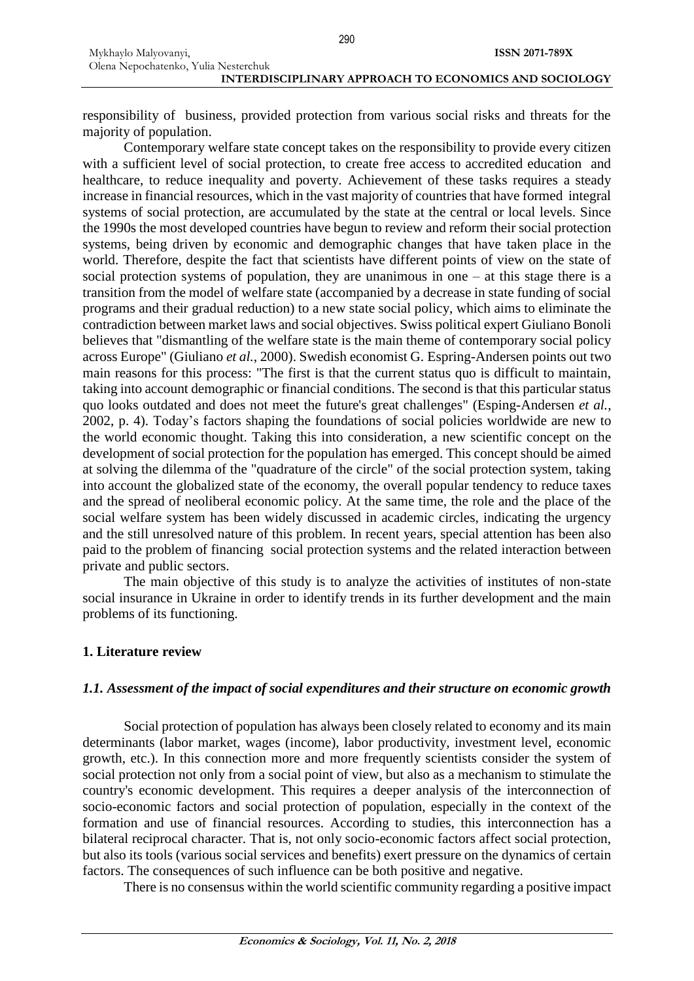responsibility of business, provided protection from various social risks and threats for the majority of population.

Contemporary welfare state concept takes on the responsibility to provide every citizen with a sufficient level of social protection, to create free access to accredited education and healthcare, to reduce inequality and poverty. Achievement of these tasks requires a steady increase in financial resources, which in the vast majority of countries that have formed integral systems of social protection, are accumulated by the state at the central or local levels. Since the 1990s the most developed countries have begun to review and reform their social protection systems, being driven by economic and demographic changes that have taken place in the world. Therefore, despite the fact that scientists have different points of view on the state of social protection systems of population, they are unanimous in one – at this stage there is a transition from the model of welfare state (accompanied by a decrease in state funding of social programs and their gradual reduction) to a new state social policy, which aims to eliminate the contradiction between market laws and social objectives. Swiss political expert Giuliano Bonoli believes that "dismantling of the welfare state is the main theme of contemporary social policy across Europe" (Giuliano *et al.*, 2000). Swedish economist G. Espring-Andersen points out two main reasons for this process: "The first is that the current status quo is difficult to maintain, taking into account demographic or financial conditions. The second is that this particular status quo looks outdated and does not meet the future's great challenges" (Esping-Andersen *et al.*, 2002, p. 4). Today's factors shaping the foundations of social policies worldwide are new to the world economic thought. Taking this into consideration, a new scientific concept on the development of social protection for the population has emerged. This concept should be aimed at solving the dilemma of the "quadrature of the circle" of the social protection system, taking into account the globalized state of the economy, the overall popular tendency to reduce taxes and the spread of neoliberal economic policy. At the same time, the role and the place of the social welfare system has been widely discussed in academic circles, indicating the urgency and the still unresolved nature of this problem. In recent years, special attention has been also paid to the problem of financing social protection systems and the related interaction between private and public sectors.

The main objective of this study is to analyze the activities of institutes of non-state social insurance in Ukraine in order to identify trends in its further development and the main problems of its functioning.

### **1. Literature review**

### *1.1. Assessment of the impact of social expenditures and their structure on economic growth*

Social protection of population has always been closely related to economy and its main determinants (labor market, wages (income), labor productivity, investment level, economic growth, etc.). In this connection more and more frequently scientists consider the system of social protection not only from a social point of view, but also as a mechanism to stimulate the country's economic development. This requires a deeper analysis of the interconnection of socio-economic factors and social protection of population, especially in the context of the formation and use of financial resources. According to studies, this interconnection has a bilateral reciprocal character. That is, not only socio-economic factors affect social protection, but also its tools (various social services and benefits) exert pressure on the dynamics of certain factors. The consequences of such influence can be both positive and negative.

There is no consensus within the world scientific community regarding a positive impact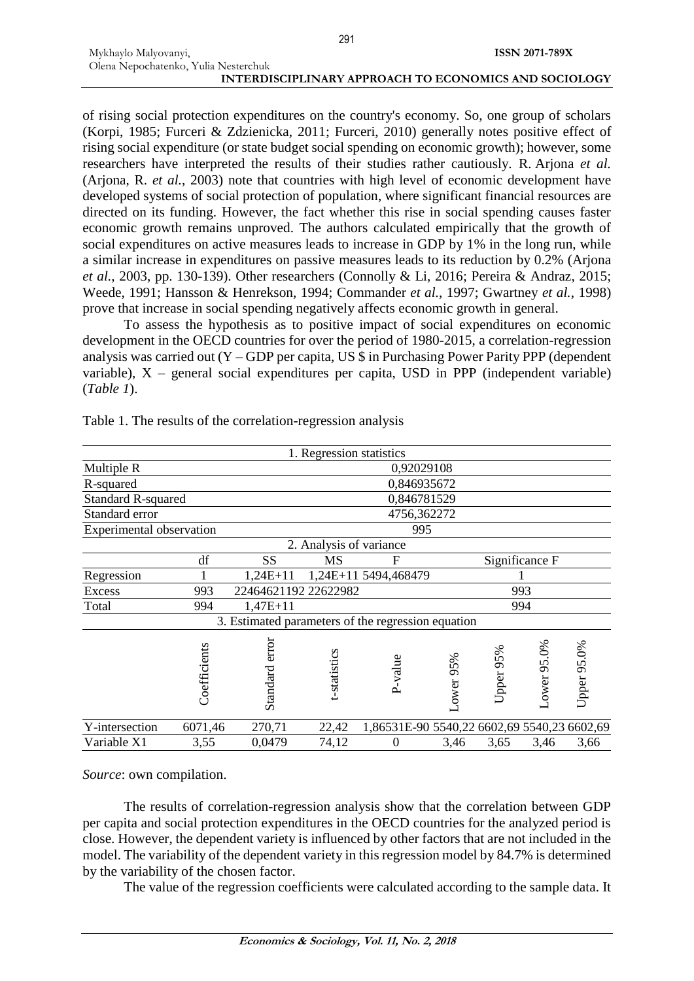291

of rising social protection expenditures on the country's economy. So, one group of scholars (Korpi, 1985; Furceri & Zdzienicka, 2011; Furceri, 2010) generally notes positive effect of rising social expenditure (or state budget social spending on economic growth); however, some researchers have interpreted the results of their studies rather cautiously. R. Arjona *et al.* (Arjona, R. *et al.*, 2003) note that countries with high level of economic development have developed systems of social protection of population, where significant financial resources are directed on its funding. However, the fact whether this rise in social spending causes faster economic growth remains unproved. The authors calculated empirically that the growth of social expenditures on active measures leads to increase in GDP by 1% in the long run, while a similar increase in expenditures on passive measures leads to its reduction by 0.2% (Arjona *et al.*, 2003, pp. 130-139). Other researchers (Connolly & Li, 2016; Pereira & Andraz, 2015; Weede, 1991; Hansson & Henrekson, 1994; Commander *et al.*, 1997; Gwartney *et al.*, 1998) prove that increase in social spending negatively affects economic growth in general.

To assess the hypothesis as to positive impact of social expenditures on economic development in the OECD countries for over the period of 1980-2015, a correlation-regression analysis was carried out (Y – GDP per capita, US \$ in Purchasing Power Parity PPP (dependent variable),  $X$  – general social expenditures per capita, USD in PPP (independent variable) (*Table 1*).

|                           |              |                                                    | 1. Regression statistics |                                             |           |           |                |             |
|---------------------------|--------------|----------------------------------------------------|--------------------------|---------------------------------------------|-----------|-----------|----------------|-------------|
| Multiple R                | 0,92029108   |                                                    |                          |                                             |           |           |                |             |
| R-squared                 | 0,846935672  |                                                    |                          |                                             |           |           |                |             |
| <b>Standard R-squared</b> |              | 0,846781529                                        |                          |                                             |           |           |                |             |
| Standard error            |              | 4756,362272                                        |                          |                                             |           |           |                |             |
| Experimental observation  |              | 995                                                |                          |                                             |           |           |                |             |
|                           |              |                                                    | 2. Analysis of variance  |                                             |           |           |                |             |
|                           | df           | SS                                                 | <b>MS</b>                | F                                           |           |           | Significance F |             |
| Regression                |              | $1,24E+11$                                         |                          | 1,24E+11 5494,468479                        |           |           |                |             |
| <b>Excess</b>             | 993          | 22464621192 22622982                               |                          |                                             |           | 993       |                |             |
| Total                     | 994          | $1,47E+11$                                         |                          |                                             |           | 994       |                |             |
|                           |              | 3. Estimated parameters of the regression equation |                          |                                             |           |           |                |             |
|                           | Coefficients | Standard error                                     | t-statistics             | P-value                                     | Lower 95% | Upper 95% | Lower 95.0%    | Upper 95.0% |
| Y-intersection            | 6071,46      | 270,71                                             | 22,42                    | 1,86531E-90 5540,22 6602,69 5540,23 6602,69 |           |           |                |             |
| Variable X1               | 3,55         | 0,0479                                             | 74,12                    | $\boldsymbol{0}$                            | 3,46      | 3,65      | 3,46           | 3,66        |

Table 1. The results of the correlation-regression analysis

*Source*: own compilation.

Mykhaylo Malyovanyi,

The results of correlation-regression analysis show that the correlation between GDP per capita and social protection expenditures in the OECD countries for the analyzed period is close. However, the dependent variety is influenced by other factors that are not included in the model. The variability of the dependent variety in this regression model by 84.7% is determined by the variability of the chosen factor.

The value of the regression coefficients were calculated according to the sample data. It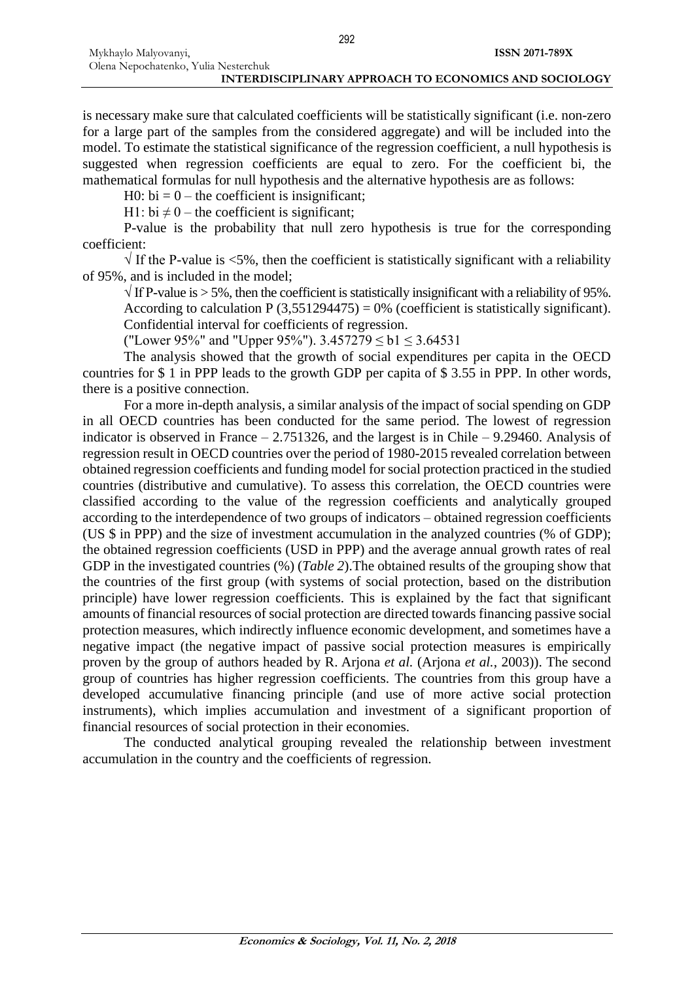is necessary make sure that calculated coefficients will be statistically significant (i.e. non-zero for a large part of the samples from the considered aggregate) and will be included into the model. To estimate the statistical significance of the regression coefficient, a null hypothesis is suggested when regression coefficients are equal to zero. For the coefficient bi, the mathematical formulas for null hypothesis and the alternative hypothesis are as follows:

H0:  $bi = 0$  – the coefficient is insignificant;

H1: bi  $\neq$  0 – the coefficient is significant;

P-value is the probability that null zero hypothesis is true for the corresponding coefficient:

 $\sqrt{ }$  If the P-value is <5%, then the coefficient is statistically significant with a reliability of 95%, and is included in the model;

 $\sqrt{1}$  If P-value is > 5%, then the coefficient is statistically insignificant with a reliability of 95%. According to calculation P  $(3,551294475) = 0%$  (coefficient is statistically significant). Confidential interval for coefficients of regression.

("Lower 95%" and "Upper 95%").  $3.457279 \le b1 \le 3.64531$ 

The analysis showed that the growth of social expenditures per capita in the OECD countries for \$ 1 in PPP leads to the growth GDP per capita of \$ 3.55 in PPP. In other words, there is a positive connection.

For a more in-depth analysis, a similar analysis of the impact of social spending on GDP in all OECD countries has been conducted for the same period. The lowest of regression indicator is observed in France – 2.751326, and the largest is in Chile – 9.29460. Analysis of regression result in OECD countries over the period of 1980-2015 revealed correlation between obtained regression coefficients and funding model for social protection practiced in the studied countries (distributive and cumulative). To assess this correlation, the OECD countries were classified according to the value of the regression coefficients and analytically grouped according to the interdependence of two groups of indicators – obtained regression coefficients (US \$ in PPP) and the size of investment accumulation in the analyzed countries (% of GDP); the obtained regression coefficients (USD in PPP) and the average annual growth rates of real GDP in the investigated countries (%) (*Table 2*).The obtained results of the grouping show that the countries of the first group (with systems of social protection, based on the distribution principle) have lower regression coefficients. This is explained by the fact that significant amounts of financial resources of social protection are directed towards financing passive social protection measures, which indirectly influence economic development, and sometimes have a negative impact (the negative impact of passive social protection measures is empirically proven by the group of authors headed by R. Arjona *et al.* (Arjona *et al.*, 2003)). The second group of countries has higher regression coefficients. The countries from this group have a developed accumulative financing principle (and use of more active social protection instruments), which implies accumulation and investment of a significant proportion of financial resources of social protection in their economies.

The conducted analytical grouping revealed the relationship between investment accumulation in the country and the coefficients of regression.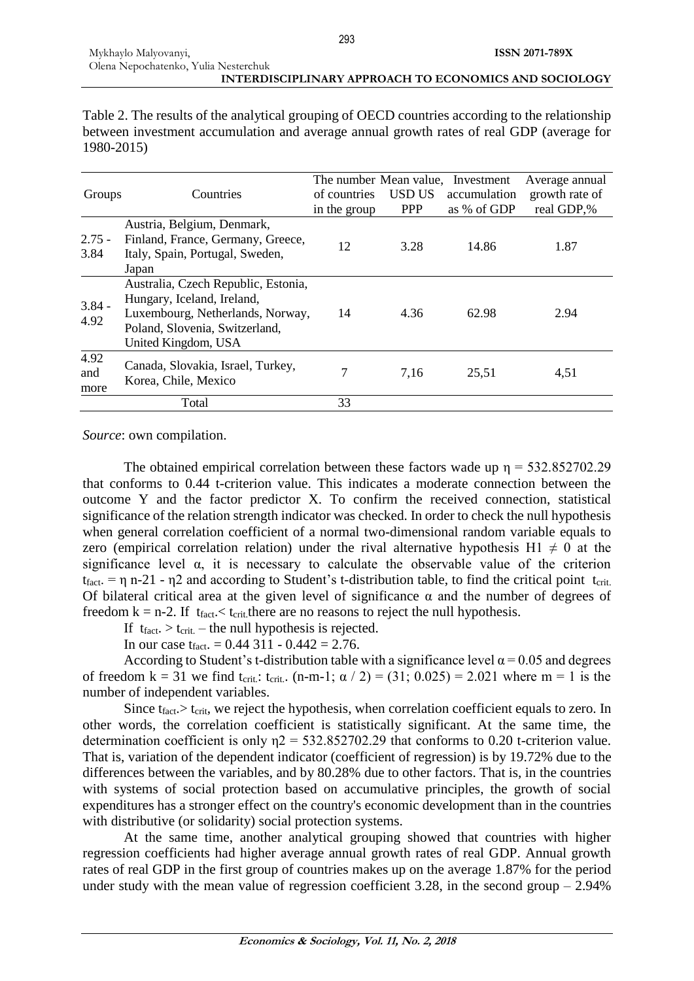Table 2. The results of the analytical grouping of OECD countries according to the relationship between investment accumulation and average annual growth rates of real GDP (average for 1980-2015)

| Groups              | Countries                                                                                                                                                      | of countries<br>in the group | USD US<br><b>PPP</b> | The number Mean value, Investment<br>accumulation<br>as % of GDP | Average annual<br>growth rate of<br>real GDP,% |
|---------------------|----------------------------------------------------------------------------------------------------------------------------------------------------------------|------------------------------|----------------------|------------------------------------------------------------------|------------------------------------------------|
| $2.75 -$<br>3.84    | Austria, Belgium, Denmark,<br>Finland, France, Germany, Greece,<br>Italy, Spain, Portugal, Sweden,<br>Japan                                                    | 12                           | 3.28                 | 14.86                                                            | 1.87                                           |
| $3.84 -$<br>4.92    | Australia, Czech Republic, Estonia,<br>Hungary, Iceland, Ireland,<br>Luxembourg, Netherlands, Norway,<br>Poland, Slovenia, Switzerland,<br>United Kingdom, USA | 14                           | 4.36                 | 62.98                                                            | 2.94                                           |
| 4.92<br>and<br>more | Canada, Slovakia, Israel, Turkey,<br>Korea, Chile, Mexico                                                                                                      | 7                            | 7,16                 | 25,51                                                            | 4,51                                           |
|                     | Total                                                                                                                                                          | 33                           |                      |                                                                  |                                                |

*Source*: own compilation.

The obtained empirical correlation between these factors wade up  $n = 532.852702.29$ that conforms to 0.44 t-criterion value. This indicates a moderate connection between the outcome Y and the factor predictor X. To confirm the received connection, statistical significance of the relation strength indicator was checked. In order to check the null hypothesis when general correlation coefficient of a normal two-dimensional random variable equals to zero (empirical correlation relation) under the rival alternative hypothesis H1  $\neq$  0 at the significance level  $\alpha$ , it is necessary to calculate the observable value of the criterion  $t_{fact.} = \eta n-21$  -  $\eta$ 2 and according to Student's t-distribution table, to find the critical point  $t_{crit.}$ Of bilateral critical area at the given level of significance  $\alpha$  and the number of degrees of freedom  $k = n-2$ . If  $t_{fact} < t_{crit}$ , there are no reasons to reject the null hypothesis.

If  $t_{fact.} > t_{crit.}$  – the null hypothesis is rejected.

In our case  $t_{fact.} = 0.44311 - 0.442 = 2.76$ .

According to Student's t-distribution table with a significance level  $\alpha$  = 0.05 and degrees of freedom k = 31 we find t<sub>crit</sub>: t<sub>crit</sub>. (n-m-1;  $\alpha$  / 2) = (31; 0.025) = 2.021 where m = 1 is the number of independent variables.

Since  $t_{\text{fact}} > t_{\text{crit}}$ , we reject the hypothesis, when correlation coefficient equals to zero. In other words, the correlation coefficient is statistically significant. At the same time, the determination coefficient is only  $\eta$ 2 = 532.852702.29 that conforms to 0.20 t-criterion value. That is, variation of the dependent indicator (coefficient of regression) is by 19.72% due to the differences between the variables, and by 80.28% due to other factors. That is, in the countries with systems of social protection based on accumulative principles, the growth of social expenditures has a stronger effect on the country's economic development than in the countries with distributive (or solidarity) social protection systems.

At the same time, another analytical grouping showed that countries with higher regression coefficients had higher average annual growth rates of real GDP. Annual growth rates of real GDP in the first group of countries makes up on the average 1.87% for the period under study with the mean value of regression coefficient  $3.28$ , in the second group  $-2.94\%$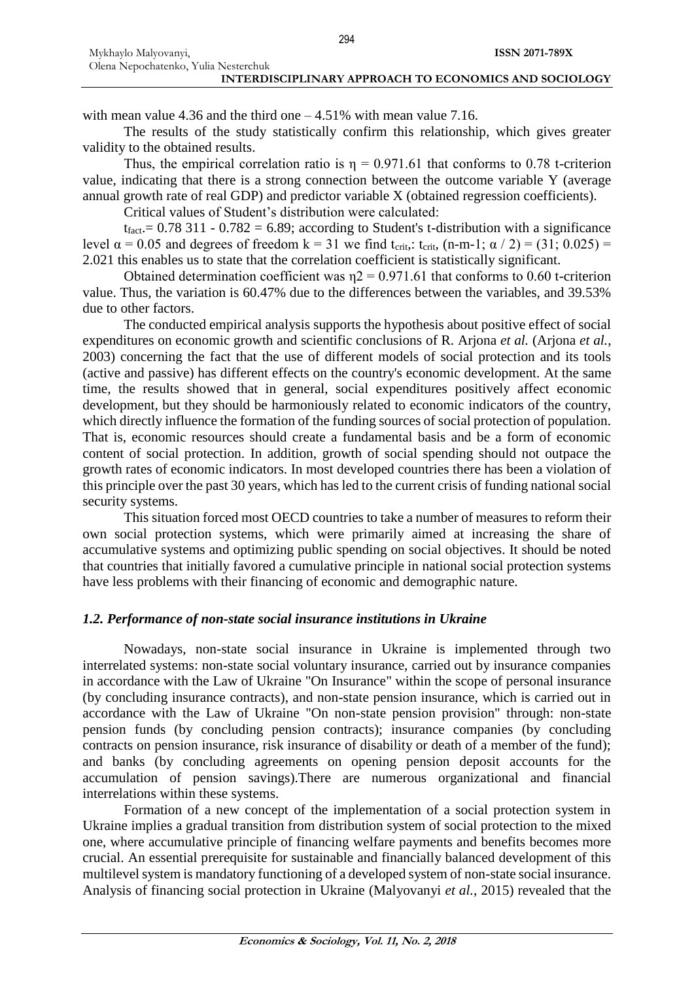with mean value 4.36 and the third one  $-4.51\%$  with mean value 7.16.

The results of the study statistically confirm this relationship, which gives greater validity to the obtained results.

Thus, the empirical correlation ratio is  $\eta = 0.971.61$  that conforms to 0.78 t-criterion value, indicating that there is a strong connection between the outcome variable Y (average annual growth rate of real GDP) and predictor variable X (obtained regression coefficients).

Critical values of Student's distribution were calculated:

 $t_{\text{fact}} = 0.78311 - 0.782 = 6.89$ ; according to Student's t-distribution with a significance level  $α = 0.05$  and degrees of freedom  $k = 31$  we find t<sub>crit</sub>, t<sub>crit</sub>, (n-m-1;  $α / 2$ ) = (31; 0.025) = 2.021 this enables us to state that the correlation coefficient is statistically significant.

Obtained determination coefficient was  $n^2 = 0.971.61$  that conforms to 0.60 t-criterion value. Thus, the variation is 60.47% due to the differences between the variables, and 39.53% due to other factors.

The conducted empirical analysis supports the hypothesis about positive effect of social expenditures on economic growth and scientific conclusions of R. Arjona *et al.* (Arjona *et al.*, 2003) concerning the fact that the use of different models of social protection and its tools (active and passive) has different effects on the country's economic development. At the same time, the results showed that in general, social expenditures positively affect economic development, but they should be harmoniously related to economic indicators of the country, which directly influence the formation of the funding sources of social protection of population. That is, economic resources should create a fundamental basis and be a form of economic content of social protection. In addition, growth of social spending should not outpace the growth rates of economic indicators. In most developed countries there has been a violation of this principle over the past 30 years, which has led to the current crisis of funding national social security systems.

This situation forced most OECD countries to take a number of measures to reform their own social protection systems, which were primarily aimed at increasing the share of accumulative systems and optimizing public spending on social objectives. It should be noted that countries that initially favored a cumulative principle in national social protection systems have less problems with their financing of economic and demographic nature.

### *1.2. Performance of non-state social insurance institutions in Ukraine*

Nowadays, non-state social insurance in Ukraine is implemented through two interrelated systems: non-state social voluntary insurance, carried out by insurance companies in accordance with the Law of Ukraine "On Insurance" within the scope of personal insurance (by concluding insurance contracts), and non-state pension insurance, which is carried out in accordance with the Law of Ukraine "On non-state pension provision" through: non-state pension funds (by concluding pension contracts); insurance companies (by concluding contracts on pension insurance, risk insurance of disability or death of a member of the fund); and banks (by concluding agreements on opening pension deposit accounts for the accumulation of pension savings).There are numerous organizational and financial interrelations within these systems.

Formation of a new concept of the implementation of a social protection system in Ukraine implies a gradual transition from distribution system of social protection to the mixed one, where accumulative principle of financing welfare payments and benefits becomes more crucial. An essential prerequisite for sustainable and financially balanced development of this multilevel system is mandatory functioning of a developed system of non-state social insurance. Analysis of financing social protection in Ukraine (Malyovanyi *et al.*, 2015) revealed that the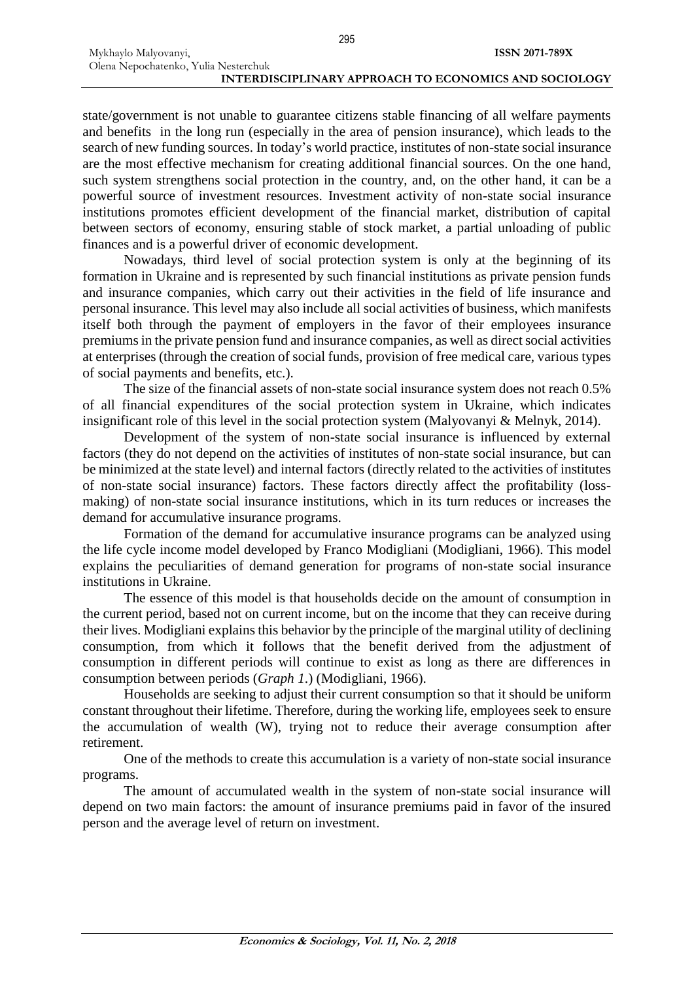state/government is not unable to guarantee citizens stable financing of all welfare payments and benefits in the long run (especially in the area of pension insurance), which leads to the search of new funding sources. In today's world practice, institutes of non-state social insurance are the most effective mechanism for creating additional financial sources. On the one hand, such system strengthens social protection in the country, and, on the other hand, it can be a powerful source of investment resources. Investment activity of non-state social insurance institutions promotes efficient development of the financial market, distribution of capital between sectors of economy, ensuring stable of stock market, a partial unloading of public finances and is a powerful driver of economic development.

Nowadays, third level of social protection system is only at the beginning of its formation in Ukraine and is represented by such financial institutions as private pension funds and insurance companies, which carry out their activities in the field of life insurance and personal insurance. This level may also include all social activities of business, which manifests itself both through the payment of employers in the favor of their employees insurance premiums in the private pension fund and insurance companies, as well as direct social activities at enterprises (through the creation of social funds, provision of free medical care, various types of social payments and benefits, etc.).

The size of the financial assets of non-state social insurance system does not reach 0.5% of all financial expenditures of the social protection system in Ukraine, which indicates insignificant role of this level in the social protection system (Malyovanyi & Melnyk, 2014).

Development of the system of non-state social insurance is influenced by external factors (they do not depend on the activities of institutes of non-state social insurance, but can be minimized at the state level) and internal factors (directly related to the activities of institutes of non-state social insurance) factors. These factors directly affect the profitability (lossmaking) of non-state social insurance institutions, which in its turn reduces or increases the demand for accumulative insurance programs.

Formation of the demand for accumulative insurance programs can be analyzed using the life cycle income model developed by Franco Modigliani (Modigliani, 1966). This model explains the peculiarities of demand generation for programs of non-state social insurance institutions in Ukraine.

The essence of this model is that households decide on the amount of consumption in the current period, based not on current income, but on the income that they can receive during their lives. Modigliani explains this behavior by the principle of the marginal utility of declining consumption, from which it follows that the benefit derived from the adjustment of consumption in different periods will continue to exist as long as there are differences in consumption between periods (*Graph 1*.) (Modigliani, 1966).

Households are seeking to adjust their current consumption so that it should be uniform constant throughout their lifetime. Therefore, during the working life, employees seek to ensure the accumulation of wealth (W), trying not to reduce their average consumption after retirement.

One of the methods to create this accumulation is a variety of non-state social insurance programs.

The amount of accumulated wealth in the system of non-state social insurance will depend on two main factors: the amount of insurance premiums paid in favor of the insured person and the average level of return on investment.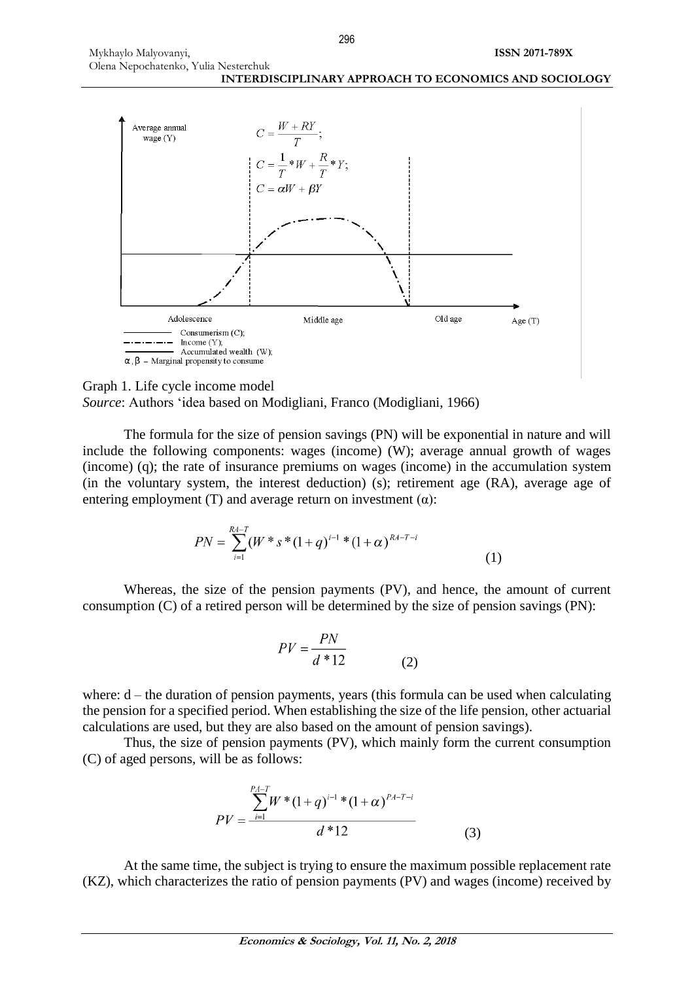296





The formula for the size of pension savings (PN) will be exponential in nature and will include the following components: wages (income) (W); average annual growth of wages (income) (q); the rate of insurance premiums on wages (income) in the accumulation system (in the voluntary system, the interest deduction) (s); retirement age (RA), average age of entering employment (T) and average return on investment  $(\alpha)$ :

$$
PN = \sum_{i=1}^{RA-T} (W^*s^*(1+q)^{i-1}*(1+\alpha)^{RA-T-i}
$$
(1)

Whereas, the size of the pension payments (PV), and hence, the amount of current consumption (C) of a retired person will be determined by the size of pension savings (PN):

$$
PV = \frac{PN}{d*12}
$$
 (2)

where:  $d$  – the duration of pension payments, years (this formula can be used when calculating the pension for a specified period. When establishing the size of the life pension, other actuarial calculations are used, but they are also based on the amount of pension savings).

Thus, the size of pension payments (PV), which mainly form the current consumption (C) of aged persons, will be as follows:

$$
PV = \frac{\sum_{i=1}^{P_A - T} W^* (1+q)^{i-1} * (1+\alpha)^{P_A - T-i}}{d^* 12}
$$
(3)

At the same time, the subject is trying to ensure the maximum possible replacement rate (KZ), which characterizes the ratio of pension payments (PV) and wages (income) received by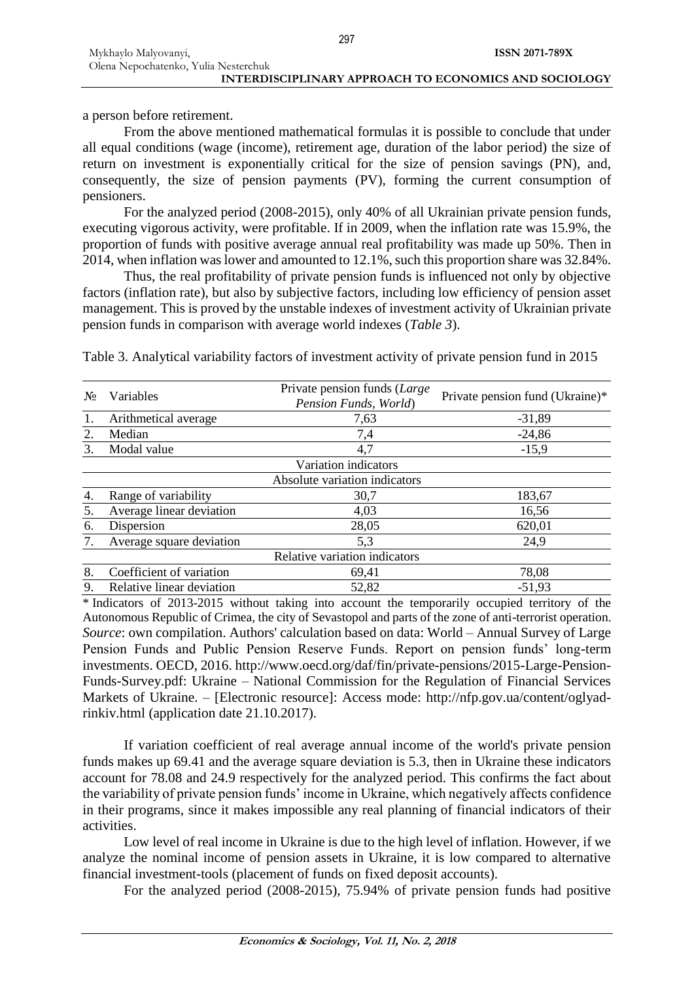From the above mentioned mathematical formulas it is possible to conclude that under all equal conditions (wage (income), retirement age, duration of the labor period) the size of return on investment is exponentially critical for the size of pension savings (PN), and, consequently, the size of pension payments (PV), forming the current consumption of pensioners.

For the analyzed period (2008-2015), only 40% of all Ukrainian private pension funds, executing vigorous activity, were profitable. If in 2009, when the inflation rate was 15.9%, the proportion of funds with positive average annual real profitability was made up 50%. Then in 2014, when inflation was lower and amounted to 12.1%, such this proportion share was 32.84%.

Thus, the real profitability of private pension funds is influenced not only by objective factors (inflation rate), but also by subjective factors, including low efficiency of pension asset management. This is proved by the unstable indexes of investment activity of Ukrainian private pension funds in comparison with average world indexes (*Table 3*).

| No | Variables                 | Private pension funds (Large<br>Pension Funds, World) | Private pension fund (Ukraine)* |
|----|---------------------------|-------------------------------------------------------|---------------------------------|
|    | Arithmetical average      | 7,63                                                  | $-31,89$                        |
| 2. | Median                    | 7,4                                                   | $-24,86$                        |
|    | Modal value               | 4,7                                                   | $-15,9$                         |
|    |                           | Variation indicators                                  |                                 |
|    |                           | Absolute variation indicators                         |                                 |
| 4. | Range of variability      | 30,7                                                  | 183,67                          |
|    | Average linear deviation  | 4,03                                                  | 16,56                           |
| 6. | Dispersion                | 28,05                                                 | 620,01                          |
|    | Average square deviation  | 5,3                                                   | 24,9                            |
|    |                           | Relative variation indicators                         |                                 |
| 8. | Coefficient of variation  | 69,41                                                 | 78,08                           |
| 9. | Relative linear deviation | 52,82                                                 | $-51,93$                        |

Table 3. Analytical variability factors of investment activity of private pension fund in 2015

\* Indicators of 2013-2015 without taking into account the temporarily occupied territory of the Autonomous Republic of Crimea, the city of Sevastopol and parts of the zone of anti-terrorist operation. *Source*: own compilation. Authors' calculation based on data: World – Annual Survey of Large Pension Funds and Public Pension Reserve Funds. Report on pension funds' long-term investments. OECD, 2016. [http://www.oecd.org/daf/fin/private-pensions/2015-Large-Pension-](http://www.oecd.org/daf/fin/private-pensions/2015-Large-Pension-Funds-Survey.pdf)[Funds-Survey.pdf:](http://www.oecd.org/daf/fin/private-pensions/2015-Large-Pension-Funds-Survey.pdf) Ukraine – National Commission for the Regulation of Financial Services Markets of Ukraine. – [Electronic resource]: Access mode: [http://nfp.gov.ua/content/oglyad](http://nfp.gov.ua/content/oglyad-rinkiv.html)[rinkiv.html](http://nfp.gov.ua/content/oglyad-rinkiv.html) (application date 21.10.2017).

If variation coefficient of real average annual income of the world's private pension funds makes up 69.41 and the average square deviation is 5.3, then in Ukraine these indicators account for 78.08 and 24.9 respectively for the analyzed period. This confirms the fact about the variability of private pension funds' income in Ukraine, which negatively affects confidence in their programs, since it makes impossible any real planning of financial indicators of their activities.

Low level of real income in Ukraine is due to the high level of inflation. However, if we analyze the nominal income of pension assets in Ukraine, it is low compared to alternative financial investment-tools (placement of funds on fixed deposit accounts).

For the analyzed period (2008-2015), 75.94% of private pension funds had positive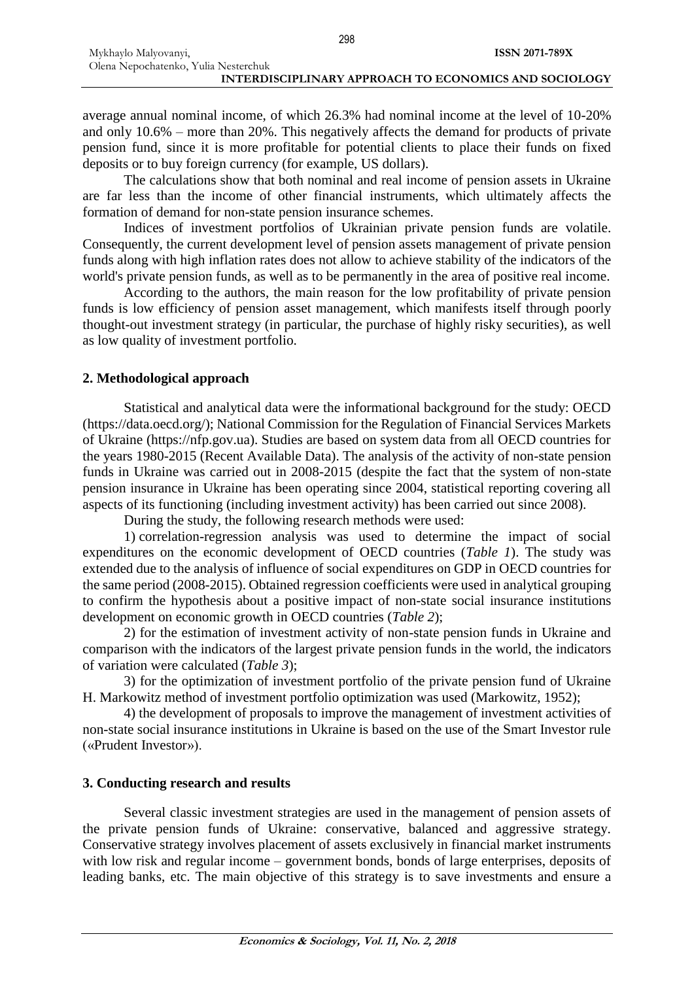average annual nominal income, of which 26.3% had nominal income at the level of 10-20% and only 10.6% – more than 20%. This negatively affects the demand for products of private pension fund, since it is more profitable for potential clients to place their funds on fixed deposits or to buy foreign currency (for example, US dollars).

The calculations show that both nominal and real income of pension assets in Ukraine are far less than the income of other financial instruments, which ultimately affects the formation of demand for non-state pension insurance schemes.

Indices of investment portfolios of Ukrainian private pension funds are volatile. Consequently, the current development level of pension assets management of private pension funds along with high inflation rates does not allow to achieve stability of the indicators of the world's private pension funds, as well as to be permanently in the area of positive real income.

According to the authors, the main reason for the low profitability of private pension funds is low efficiency of pension asset management, which manifests itself through poorly thought-out investment strategy (in particular, the purchase of highly risky securities), as well as low quality of investment portfolio.

### **2. Methodological approach**

Statistical and analytical data were the informational background for the study: OECD (https://data.oecd.org/); National Commission for the Regulation of Financial Services Markets of Ukraine (https://nfp.gov.ua). Studies are based on system data from all OECD countries for the years 1980-2015 (Recent Available Data). The analysis of the activity of non-state pension funds in Ukraine was carried out in 2008-2015 (despite the fact that the system of non-state pension insurance in Ukraine has been operating since 2004, statistical reporting covering all aspects of its functioning (including investment activity) has been carried out since 2008).

During the study, the following research methods were used:

1) correlation-regression analysis was used to determine the impact of social expenditures on the economic development of OECD countries (*Table 1*). The study was extended due to the analysis of influence of social expenditures on GDP in OECD countries for the same period (2008-2015). Obtained regression coefficients were used in analytical grouping to confirm the hypothesis about a positive impact of non-state social insurance institutions development on economic growth in OECD countries (*Table 2*);

2) for the estimation of investment activity of non-state pension funds in Ukraine and comparison with the indicators of the largest private pension funds in the world, the indicators of variation were calculated (*Table 3*);

3) for the optimization of investment portfolio of the private pension fund of Ukraine H. Markowitz method of investment portfolio optimization was used (Markowitz, 1952);

4) the development of proposals to improve the management of investment activities of non-state social insurance institutions in Ukraine is based on the use of the Smart Investor rule («Prudent Investor»).

### **3. Conducting research and results**

Several classic investment strategies are used in the management of pension assets of the private pension funds of Ukraine: conservative, balanced and aggressive strategy. Conservative strategy involves placement of assets exclusively in financial market instruments with low risk and regular income – government bonds, bonds of large enterprises, deposits of leading banks, etc. The main objective of this strategy is to save investments and ensure a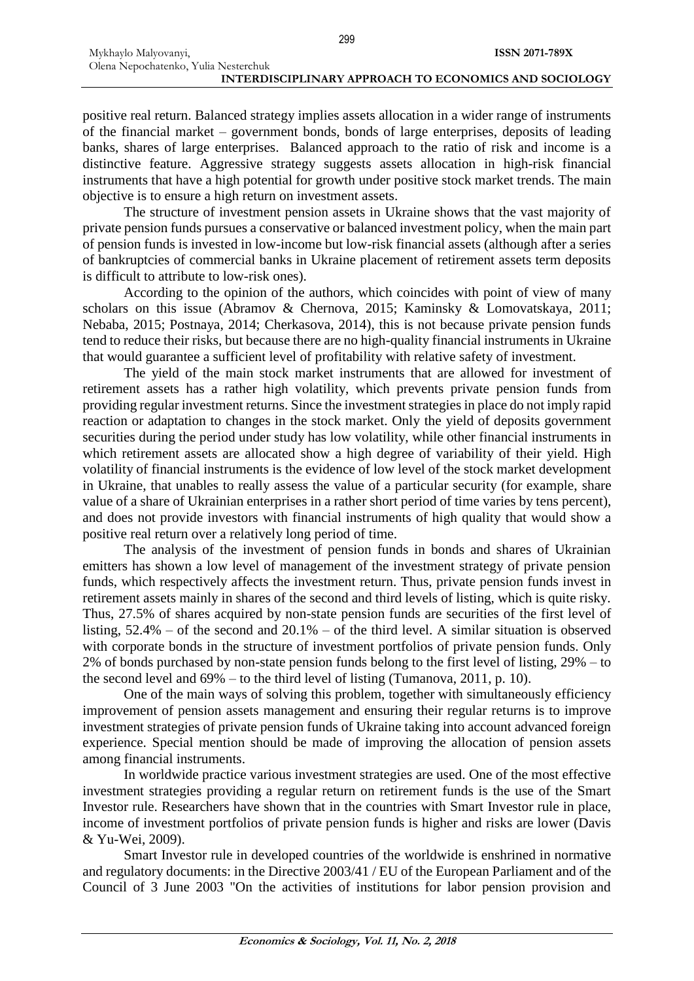positive real return. Balanced strategy implies assets allocation in a wider range of instruments of the financial market – government bonds, bonds of large enterprises, deposits of leading banks, shares of large enterprises. Balanced approach to the ratio of risk and income is a distinctive feature. Aggressive strategy suggests assets allocation in high-risk financial instruments that have a high potential for growth under positive stock market trends. The main objective is to ensure a high return on investment assets.

The structure of investment pension assets in Ukraine shows that the vast majority of private pension funds pursues a conservative or balanced investment policy, when the main part of pension funds is invested in low-income but low-risk financial assets (although after a series of bankruptcies of commercial banks in Ukraine placement of retirement assets term deposits is difficult to attribute to low-risk ones).

According to the opinion of the authors, which coincides with point of view of many scholars on this issue (Abramov & Chernova, 2015; Kaminsky & Lomovatskaya, 2011; Nebaba, 2015; Postnaya, 2014; Cherkasova, 2014), this is not because private pension funds tend to reduce their risks, but because there are no high-quality financial instruments in Ukraine that would guarantee a sufficient level of profitability with relative safety of investment.

The yield of the main stock market instruments that are allowed for investment of retirement assets has a rather high volatility, which prevents private pension funds from providing regular investment returns. Since the investment strategies in place do not imply rapid reaction or adaptation to changes in the stock market. Only the yield of deposits government securities during the period under study has low volatility, while other financial instruments in which retirement assets are allocated show a high degree of variability of their yield. High volatility of financial instruments is the evidence of low level of the stock market development in Ukraine, that unables to really assess the value of a particular security (for example, share value of a share of Ukrainian enterprises in a rather short period of time varies by tens percent), and does not provide investors with financial instruments of high quality that would show a positive real return over a relatively long period of time.

The analysis of the investment of pension funds in bonds and shares of Ukrainian emitters has shown a low level of management of the investment strategy of private pension funds, which respectively affects the investment return. Thus, private pension funds invest in retirement assets mainly in shares of the second and third levels of listing, which is quite risky. Thus, 27.5% of shares acquired by non-state pension funds are securities of the first level of listing, 52.4% – of the second and 20.1% – of the third level. A similar situation is observed with corporate bonds in the structure of investment portfolios of private pension funds. Only 2% of bonds purchased by non-state pension funds belong to the first level of listing, 29% – to the second level and 69% – to the third level of listing (Tumanova, 2011, p. 10).

One of the main ways of solving this problem, together with simultaneously efficiency improvement of pension assets management and ensuring their regular returns is to improve investment strategies of private pension funds of Ukraine taking into account advanced foreign experience. Special mention should be made of improving the allocation of pension assets among financial instruments.

In worldwide practice various investment strategies are used. One of the most effective investment strategies providing a regular return on retirement funds is the use of the Smart Investor rule. Researchers have shown that in the countries with Smart Investor rule in place, income of investment portfolios of private pension funds is higher and risks are lower (Davis & Yu-Wei, 2009).

Smart Investor rule in developed countries of the worldwide is enshrined in normative and regulatory documents: in the Directive 2003/41 / EU of the European Parliament and of the Council of 3 June 2003 "On the activities of institutions for labor pension provision and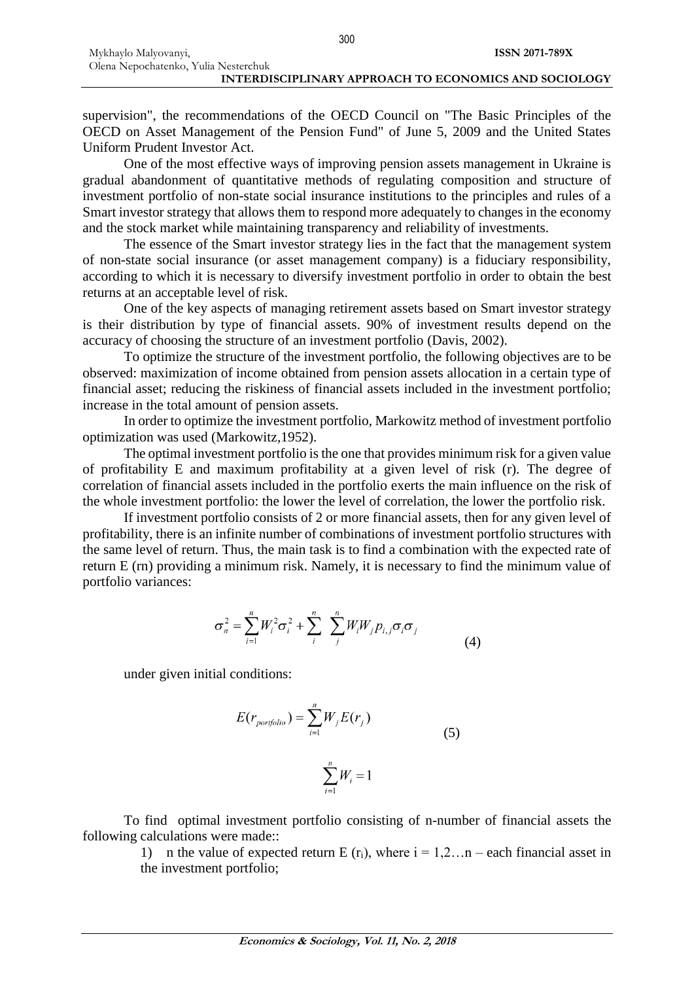supervision", the recommendations of the OECD Council on "The Basic Principles of the OECD on Asset Management of the Pension Fund" of June 5, 2009 and the United States Uniform Prudent Investor Act.

One of the most effective ways of improving pension assets management in Ukraine is gradual abandonment of quantitative methods of regulating composition and structure of investment portfolio of non-state social insurance institutions to the principles and rules of a Smart investor strategy that allows them to respond more adequately to changes in the economy and the stock market while maintaining transparency and reliability of investments.

The essence of the Smart investor strategy lies in the fact that the management system of non-state social insurance (or asset management company) is a fiduciary responsibility, according to which it is necessary to diversify investment portfolio in order to obtain the best returns at an acceptable level of risk.

One of the key aspects of managing retirement assets based on Smart investor strategy is their distribution by type of financial assets. 90% of investment results depend on the accuracy of choosing the structure of an investment portfolio (Davis, 2002).

To optimize the structure of the investment portfolio, the following objectives are to be observed: maximization of income obtained from pension assets allocation in a certain type of financial asset; reducing the riskiness of financial assets included in the investment portfolio; increase in the total amount of pension assets.

In order to optimize the investment portfolio, Markowitz method of investment portfolio optimization was used (Markowitz,1952).

The optimal investment portfolio is the one that provides minimum risk for a given value of profitability E and maximum profitability at a given level of risk (r). The degree of correlation of financial assets included in the portfolio exerts the main influence on the risk of the whole investment portfolio: the lower the level of correlation, the lower the portfolio risk.

If investment portfolio consists of 2 or more financial assets, then for any given level of profitability, there is an infinite number of combinations of investment portfolio structures with the same level of return. Thus, the main task is to find a combination with the expected rate of return E (rn) providing a minimum risk. Namely, it is necessary to find the minimum value of portfolio variances:

$$
\sigma_n^2 = \sum_{i=1}^n W_i^2 \sigma_i^2 + \sum_i^n \sum_j^n W_i W_j p_{i,j} \sigma_i \sigma_j
$$
\n(4)

under given initial conditions:

$$
E(r_{\text{portfolio}}) = \sum_{i=1}^{n} W_j E(r_j)
$$
\n
$$
\sum_{i=1}^{n} W_i = 1
$$
\n(5)

To find optimal investment portfolio consisting of n-number of financial assets the following calculations were made::

1) n the value of expected return E  $(r_i)$ , where  $i = 1, 2, \ldots n$  – each financial asset in the investment portfolio;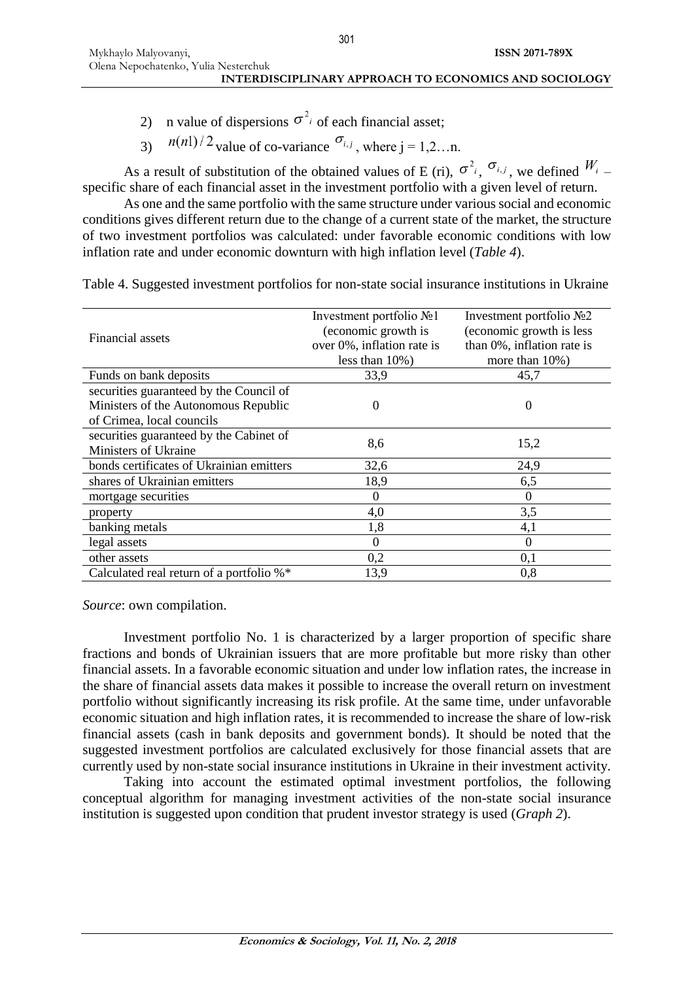- 2) n value of dispersions  $\sigma^2$  of each financial asset;
- 3)  $n(n!)/2$  value of co-variance  $\sigma_{i,j}$ , where j = 1,2...n.

As a result of substitution of the obtained values of E (ri),  $\sigma^2$ <sub>i</sub>,  $\sigma$ <sub>i,j</sub>, we defined  $W$ <sub>i</sub> – specific share of each financial asset in the investment portfolio with a given level of return.

As one and the same portfolio with the same structure under various social and economic conditions gives different return due to the change of a current state of the market, the structure of two investment portfolios was calculated: under favorable economic conditions with low inflation rate and under economic downturn with high inflation level (*Table 4*).

|                                          | Investment portfolio No1   | Investment portfolio No <sub>2</sub> |  |  |
|------------------------------------------|----------------------------|--------------------------------------|--|--|
| Financial assets                         | (economic growth is        | (economic growth is less             |  |  |
|                                          | over 0%, inflation rate is | than 0%, inflation rate is           |  |  |
|                                          | less than $10\%$ )         | more than $10\%$ )                   |  |  |
| Funds on bank deposits                   | 33,9                       | 45,7                                 |  |  |
| securities guaranteed by the Council of  |                            |                                      |  |  |
| Ministers of the Autonomous Republic     | 0                          | $\theta$                             |  |  |
| of Crimea, local councils                |                            |                                      |  |  |
| securities guaranteed by the Cabinet of  | 8,6                        |                                      |  |  |
| Ministers of Ukraine                     |                            | 15,2                                 |  |  |
| bonds certificates of Ukrainian emitters | 32,6                       | 24,9                                 |  |  |
| shares of Ukrainian emitters             | 18,9                       | 6,5                                  |  |  |
| mortgage securities                      | 0                          | $\theta$                             |  |  |
| property                                 | 4,0                        | 3,5                                  |  |  |
| banking metals                           | 1,8                        | 4,1                                  |  |  |
| legal assets                             | 0                          | $\theta$                             |  |  |
| other assets                             | 0,2                        | 0,1                                  |  |  |
| Calculated real return of a portfolio %* | 13,9                       | 0,8                                  |  |  |

Table 4. Suggested investment portfolios for non-state social insurance institutions in Ukraine

*Source*: own compilation.

Investment portfolio No. 1 is characterized by a larger proportion of specific share fractions and bonds of Ukrainian issuers that are more profitable but more risky than other financial assets. In a favorable economic situation and under low inflation rates, the increase in the share of financial assets data makes it possible to increase the overall return on investment portfolio without significantly increasing its risk profile. At the same time, under unfavorable economic situation and high inflation rates, it is recommended to increase the share of low-risk financial assets (cash in bank deposits and government bonds). It should be noted that the suggested investment portfolios are calculated exclusively for those financial assets that are currently used by non-state social insurance institutions in Ukraine in their investment activity.

Taking into account the estimated optimal investment portfolios, the following conceptual algorithm for managing investment activities of the non-state social insurance institution is suggested upon condition that prudent investor strategy is used (*Graph 2*).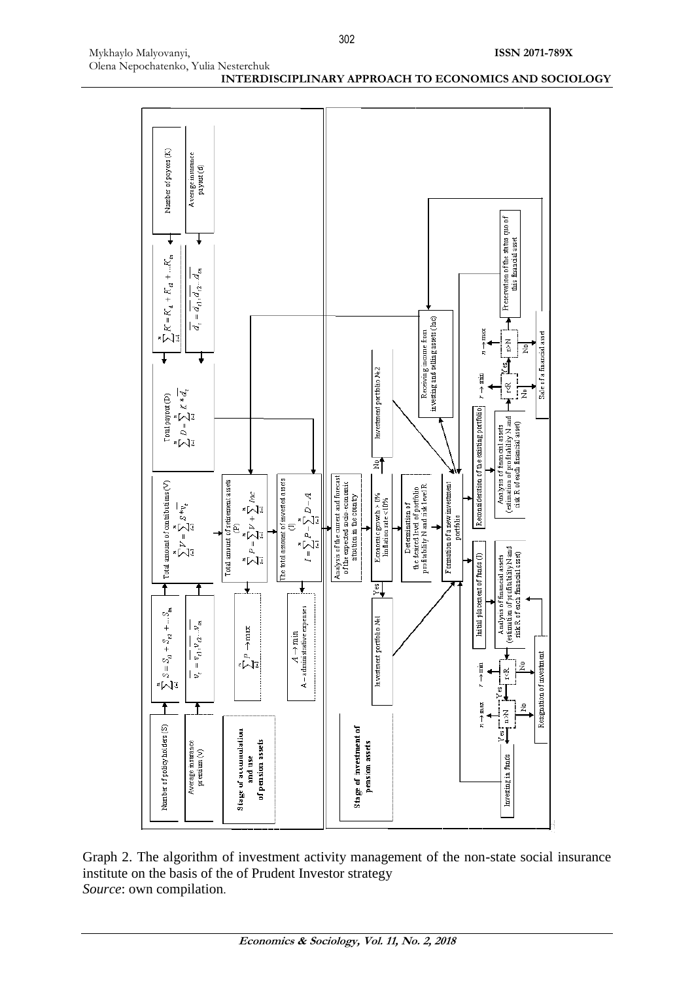

Graph 2. The algorithm of investment activity management of the non-state social insurance institute on the basis of the of Prudent Investor strategy *Source*: own compilation.

**ISSN 2071-789X**

Mykhaylo Malyovanyi,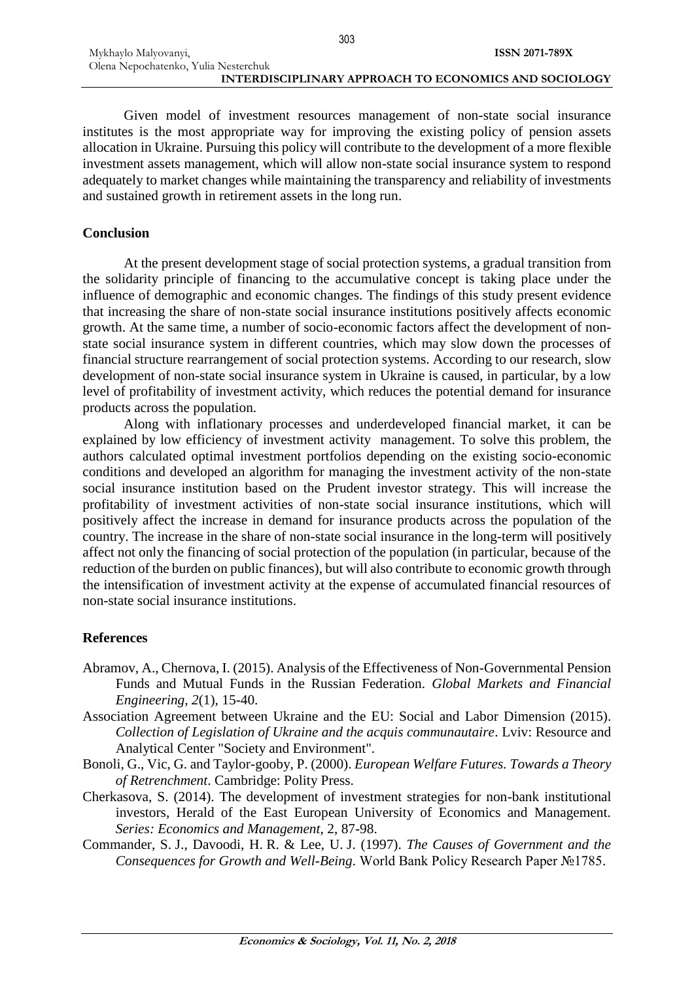303

Given model of investment resources management of non-state social insurance institutes is the most appropriate way for improving the existing policy of pension assets allocation in Ukraine. Pursuing this policy will contribute to the development of a more flexible investment assets management, which will allow non-state social insurance system to respond adequately to market changes while maintaining the transparency and reliability of investments and sustained growth in retirement assets in the long run.

### **Conclusion**

At the present development stage of social protection systems, a gradual transition from the solidarity principle of financing to the accumulative concept is taking place under the influence of demographic and economic changes. The findings of this study present evidence that increasing the share of non-state social insurance institutions positively affects economic growth. At the same time, a number of socio-economic factors affect the development of nonstate social insurance system in different countries, which may slow down the processes of financial structure rearrangement of social protection systems. According to our research, slow development of non-state social insurance system in Ukraine is caused, in particular, by a low level of profitability of investment activity, which reduces the potential demand for insurance products across the population.

Along with inflationary processes and underdeveloped financial market, it can be explained by low efficiency of investment activity management. To solve this problem, the authors calculated optimal investment portfolios depending on the existing socio-economic conditions and developed an algorithm for managing the investment activity of the non-state social insurance institution based on the Prudent investor strategy. This will increase the profitability of investment activities of non-state social insurance institutions, which will positively affect the increase in demand for insurance products across the population of the country. The increase in the share of non-state social insurance in the long-term will positively affect not only the financing of social protection of the population (in particular, because of the reduction of the burden on public finances), but will also contribute to economic growth through the intensification of investment activity at the expense of accumulated financial resources of non-state social insurance institutions.

### **References**

- Abramov, A., Chernova, I. (2015). Analysis of the Effectiveness of Non-Governmental Pension Funds and Mutual Funds in the Russian Federation. *Global Markets and Financial Engineering*, *2*(1), 15-40.
- Association Agreement between Ukraine and the EU: Social and Labor Dimension (2015). *Collection of Legislation of Ukraine and the acquis communautaire*. Lviv: Resource and Analytical Center "Society and Environment".
- Bonoli, G., Vic, G. and Taylor-gooby, P. (2000). *European Welfare Futures. Towards a Theory of Retrenchment*. Cambridge: Polity Press.
- Cherkasova, S. (2014). The development of investment strategies for non-bank institutional investors, Herald of the East European University of Economics and Management. *Series: Economics and Management*, 2, 87-98.
- Commander, S. J., Davoodi, H. R. & Lee, U. J. (1997). *The Causes of Government and the Consequences for Growth and Well-Being*. World Bank Policy Research Paper №1785.